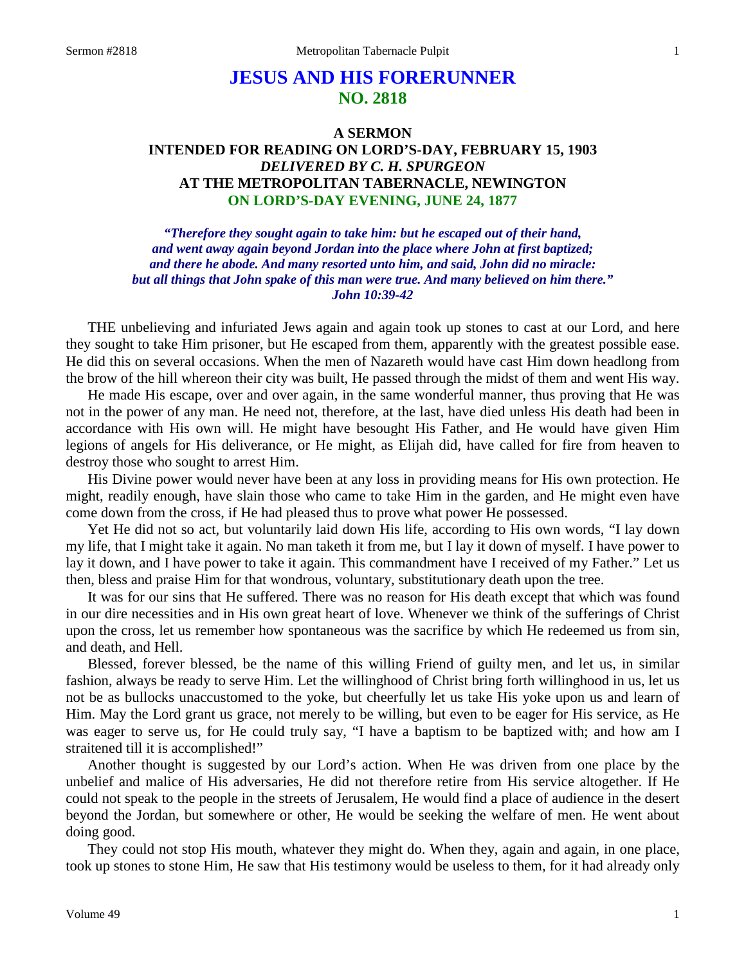# **JESUS AND HIS FORERUNNER NO. 2818**

# **A SERMON INTENDED FOR READING ON LORD'S-DAY, FEBRUARY 15, 1903** *DELIVERED BY C. H. SPURGEON* **AT THE METROPOLITAN TABERNACLE, NEWINGTON ON LORD'S-DAY EVENING, JUNE 24, 1877**

*"Therefore they sought again to take him: but he escaped out of their hand, and went away again beyond Jordan into the place where John at first baptized; and there he abode. And many resorted unto him, and said, John did no miracle: but all things that John spake of this man were true. And many believed on him there." John 10:39-42*

THE unbelieving and infuriated Jews again and again took up stones to cast at our Lord, and here they sought to take Him prisoner, but He escaped from them, apparently with the greatest possible ease. He did this on several occasions. When the men of Nazareth would have cast Him down headlong from the brow of the hill whereon their city was built, He passed through the midst of them and went His way.

He made His escape, over and over again, in the same wonderful manner, thus proving that He was not in the power of any man. He need not, therefore, at the last, have died unless His death had been in accordance with His own will. He might have besought His Father, and He would have given Him legions of angels for His deliverance, or He might, as Elijah did, have called for fire from heaven to destroy those who sought to arrest Him.

His Divine power would never have been at any loss in providing means for His own protection. He might, readily enough, have slain those who came to take Him in the garden, and He might even have come down from the cross, if He had pleased thus to prove what power He possessed.

Yet He did not so act, but voluntarily laid down His life, according to His own words, "I lay down my life, that I might take it again. No man taketh it from me, but I lay it down of myself. I have power to lay it down, and I have power to take it again. This commandment have I received of my Father." Let us then, bless and praise Him for that wondrous, voluntary, substitutionary death upon the tree.

It was for our sins that He suffered. There was no reason for His death except that which was found in our dire necessities and in His own great heart of love. Whenever we think of the sufferings of Christ upon the cross, let us remember how spontaneous was the sacrifice by which He redeemed us from sin, and death, and Hell.

Blessed, forever blessed, be the name of this willing Friend of guilty men, and let us, in similar fashion, always be ready to serve Him. Let the willinghood of Christ bring forth willinghood in us, let us not be as bullocks unaccustomed to the yoke, but cheerfully let us take His yoke upon us and learn of Him. May the Lord grant us grace, not merely to be willing, but even to be eager for His service, as He was eager to serve us, for He could truly say, "I have a baptism to be baptized with; and how am I straitened till it is accomplished!"

Another thought is suggested by our Lord's action. When He was driven from one place by the unbelief and malice of His adversaries, He did not therefore retire from His service altogether. If He could not speak to the people in the streets of Jerusalem, He would find a place of audience in the desert beyond the Jordan, but somewhere or other, He would be seeking the welfare of men. He went about doing good.

They could not stop His mouth, whatever they might do. When they, again and again, in one place, took up stones to stone Him, He saw that His testimony would be useless to them, for it had already only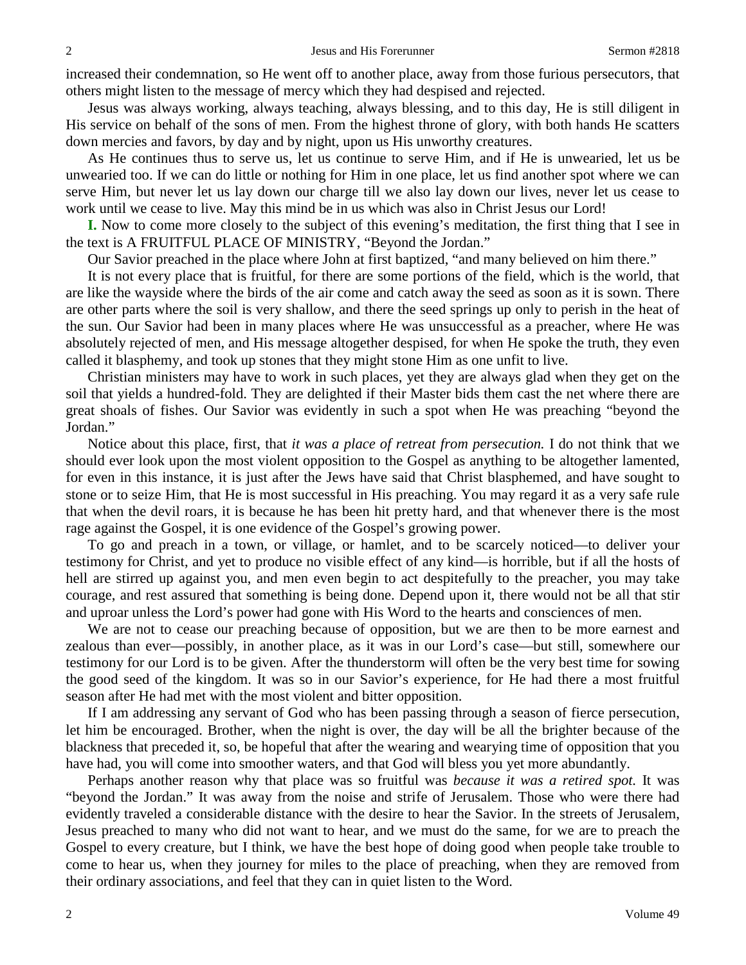increased their condemnation, so He went off to another place, away from those furious persecutors, that others might listen to the message of mercy which they had despised and rejected.

Jesus was always working, always teaching, always blessing, and to this day, He is still diligent in His service on behalf of the sons of men. From the highest throne of glory, with both hands He scatters down mercies and favors, by day and by night, upon us His unworthy creatures.

As He continues thus to serve us, let us continue to serve Him, and if He is unwearied, let us be unwearied too. If we can do little or nothing for Him in one place, let us find another spot where we can serve Him, but never let us lay down our charge till we also lay down our lives, never let us cease to work until we cease to live. May this mind be in us which was also in Christ Jesus our Lord!

**I.** Now to come more closely to the subject of this evening's meditation, the first thing that I see in the text is A FRUITFUL PLACE OF MINISTRY, "Beyond the Jordan."

Our Savior preached in the place where John at first baptized, "and many believed on him there."

It is not every place that is fruitful, for there are some portions of the field, which is the world, that are like the wayside where the birds of the air come and catch away the seed as soon as it is sown. There are other parts where the soil is very shallow, and there the seed springs up only to perish in the heat of the sun. Our Savior had been in many places where He was unsuccessful as a preacher, where He was absolutely rejected of men, and His message altogether despised, for when He spoke the truth, they even called it blasphemy, and took up stones that they might stone Him as one unfit to live.

Christian ministers may have to work in such places, yet they are always glad when they get on the soil that yields a hundred-fold. They are delighted if their Master bids them cast the net where there are great shoals of fishes. Our Savior was evidently in such a spot when He was preaching "beyond the Jordan."

Notice about this place, first, that *it was a place of retreat from persecution.* I do not think that we should ever look upon the most violent opposition to the Gospel as anything to be altogether lamented, for even in this instance, it is just after the Jews have said that Christ blasphemed, and have sought to stone or to seize Him, that He is most successful in His preaching. You may regard it as a very safe rule that when the devil roars, it is because he has been hit pretty hard, and that whenever there is the most rage against the Gospel, it is one evidence of the Gospel's growing power.

To go and preach in a town, or village, or hamlet, and to be scarcely noticed—to deliver your testimony for Christ, and yet to produce no visible effect of any kind—is horrible, but if all the hosts of hell are stirred up against you, and men even begin to act despitefully to the preacher, you may take courage, and rest assured that something is being done. Depend upon it, there would not be all that stir and uproar unless the Lord's power had gone with His Word to the hearts and consciences of men.

We are not to cease our preaching because of opposition, but we are then to be more earnest and zealous than ever—possibly, in another place, as it was in our Lord's case—but still, somewhere our testimony for our Lord is to be given. After the thunderstorm will often be the very best time for sowing the good seed of the kingdom. It was so in our Savior's experience, for He had there a most fruitful season after He had met with the most violent and bitter opposition.

If I am addressing any servant of God who has been passing through a season of fierce persecution, let him be encouraged. Brother, when the night is over, the day will be all the brighter because of the blackness that preceded it, so, be hopeful that after the wearing and wearying time of opposition that you have had, you will come into smoother waters, and that God will bless you yet more abundantly.

Perhaps another reason why that place was so fruitful was *because it was a retired spot.* It was "beyond the Jordan." It was away from the noise and strife of Jerusalem. Those who were there had evidently traveled a considerable distance with the desire to hear the Savior. In the streets of Jerusalem, Jesus preached to many who did not want to hear, and we must do the same, for we are to preach the Gospel to every creature, but I think, we have the best hope of doing good when people take trouble to come to hear us, when they journey for miles to the place of preaching, when they are removed from their ordinary associations, and feel that they can in quiet listen to the Word.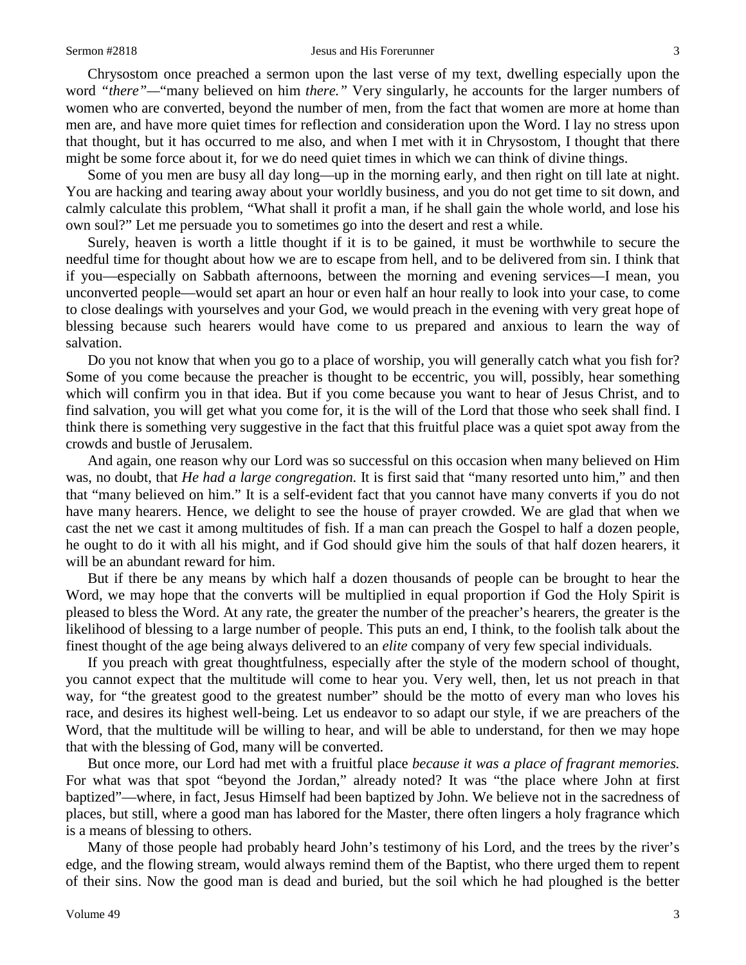#### Sermon #2818 **Sermon #2818** Jesus and His Forerunner 3

Chrysostom once preached a sermon upon the last verse of my text, dwelling especially upon the word *"there"—*"many believed on him *there."* Very singularly, he accounts for the larger numbers of women who are converted, beyond the number of men, from the fact that women are more at home than men are, and have more quiet times for reflection and consideration upon the Word. I lay no stress upon that thought, but it has occurred to me also, and when I met with it in Chrysostom, I thought that there might be some force about it, for we do need quiet times in which we can think of divine things.

Some of you men are busy all day long—up in the morning early, and then right on till late at night. You are hacking and tearing away about your worldly business, and you do not get time to sit down, and calmly calculate this problem, "What shall it profit a man, if he shall gain the whole world, and lose his own soul?" Let me persuade you to sometimes go into the desert and rest a while.

Surely, heaven is worth a little thought if it is to be gained, it must be worthwhile to secure the needful time for thought about how we are to escape from hell, and to be delivered from sin. I think that if you—especially on Sabbath afternoons, between the morning and evening services—I mean, you unconverted people—would set apart an hour or even half an hour really to look into your case, to come to close dealings with yourselves and your God, we would preach in the evening with very great hope of blessing because such hearers would have come to us prepared and anxious to learn the way of salvation.

Do you not know that when you go to a place of worship, you will generally catch what you fish for? Some of you come because the preacher is thought to be eccentric, you will, possibly, hear something which will confirm you in that idea. But if you come because you want to hear of Jesus Christ, and to find salvation, you will get what you come for, it is the will of the Lord that those who seek shall find. I think there is something very suggestive in the fact that this fruitful place was a quiet spot away from the crowds and bustle of Jerusalem.

And again, one reason why our Lord was so successful on this occasion when many believed on Him was, no doubt, that *He had a large congregation.* It is first said that "many resorted unto him," and then that "many believed on him." It is a self-evident fact that you cannot have many converts if you do not have many hearers. Hence, we delight to see the house of prayer crowded. We are glad that when we cast the net we cast it among multitudes of fish. If a man can preach the Gospel to half a dozen people, he ought to do it with all his might, and if God should give him the souls of that half dozen hearers, it will be an abundant reward for him.

But if there be any means by which half a dozen thousands of people can be brought to hear the Word, we may hope that the converts will be multiplied in equal proportion if God the Holy Spirit is pleased to bless the Word. At any rate, the greater the number of the preacher's hearers, the greater is the likelihood of blessing to a large number of people. This puts an end, I think, to the foolish talk about the finest thought of the age being always delivered to an *elite* company of very few special individuals.

If you preach with great thoughtfulness, especially after the style of the modern school of thought, you cannot expect that the multitude will come to hear you. Very well, then, let us not preach in that way, for "the greatest good to the greatest number" should be the motto of every man who loves his race, and desires its highest well-being. Let us endeavor to so adapt our style, if we are preachers of the Word, that the multitude will be willing to hear, and will be able to understand, for then we may hope that with the blessing of God, many will be converted.

But once more, our Lord had met with a fruitful place *because it was a place of fragrant memories.*  For what was that spot "beyond the Jordan," already noted? It was "the place where John at first baptized"—where, in fact, Jesus Himself had been baptized by John. We believe not in the sacredness of places, but still, where a good man has labored for the Master, there often lingers a holy fragrance which is a means of blessing to others.

Many of those people had probably heard John's testimony of his Lord, and the trees by the river's edge, and the flowing stream, would always remind them of the Baptist, who there urged them to repent of their sins. Now the good man is dead and buried, but the soil which he had ploughed is the better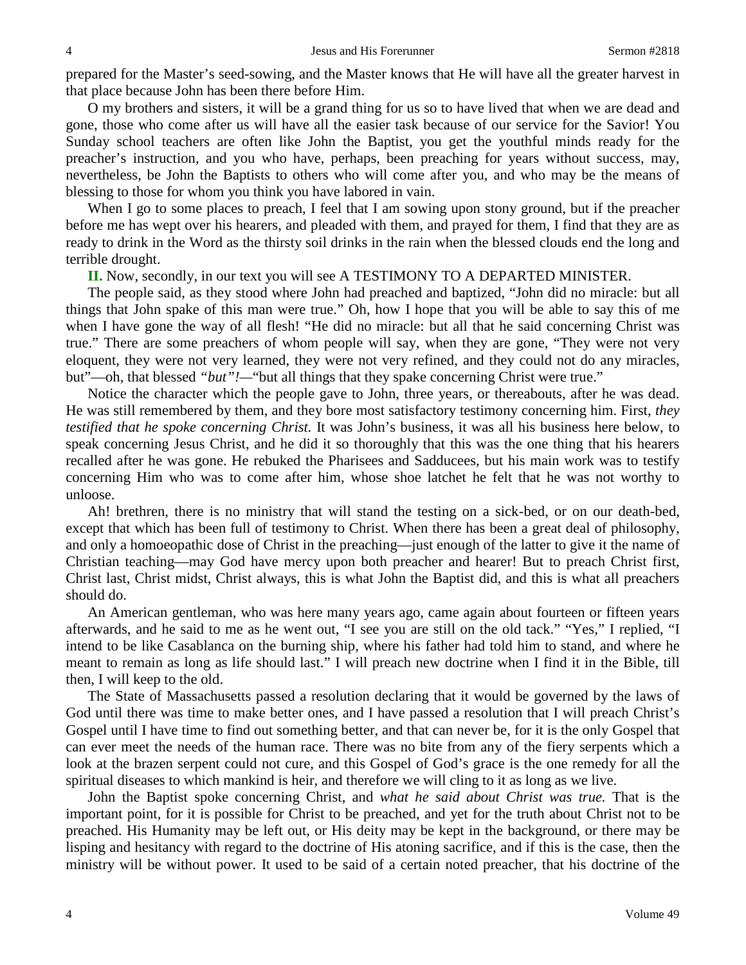prepared for the Master's seed-sowing, and the Master knows that He will have all the greater harvest in that place because John has been there before Him.

O my brothers and sisters, it will be a grand thing for us so to have lived that when we are dead and gone, those who come after us will have all the easier task because of our service for the Savior! You Sunday school teachers are often like John the Baptist, you get the youthful minds ready for the preacher's instruction, and you who have, perhaps, been preaching for years without success, may, nevertheless, be John the Baptists to others who will come after you, and who may be the means of blessing to those for whom you think you have labored in vain.

When I go to some places to preach, I feel that I am sowing upon stony ground, but if the preacher before me has wept over his hearers, and pleaded with them, and prayed for them, I find that they are as ready to drink in the Word as the thirsty soil drinks in the rain when the blessed clouds end the long and terrible drought.

**II.** Now, secondly, in our text you will see A TESTIMONY TO A DEPARTED MINISTER.

The people said, as they stood where John had preached and baptized, "John did no miracle: but all things that John spake of this man were true." Oh, how I hope that you will be able to say this of me when I have gone the way of all flesh! "He did no miracle: but all that he said concerning Christ was true." There are some preachers of whom people will say, when they are gone, "They were not very eloquent, they were not very learned, they were not very refined, and they could not do any miracles, but"—oh, that blessed *"but"!—*"but all things that they spake concerning Christ were true."

Notice the character which the people gave to John, three years, or thereabouts, after he was dead. He was still remembered by them, and they bore most satisfactory testimony concerning him. First, *they testified that he spoke concerning Christ.* It was John's business, it was all his business here below, to speak concerning Jesus Christ, and he did it so thoroughly that this was the one thing that his hearers recalled after he was gone. He rebuked the Pharisees and Sadducees, but his main work was to testify concerning Him who was to come after him, whose shoe latchet he felt that he was not worthy to unloose.

Ah! brethren, there is no ministry that will stand the testing on a sick-bed, or on our death-bed, except that which has been full of testimony to Christ. When there has been a great deal of philosophy, and only a homoeopathic dose of Christ in the preaching—just enough of the latter to give it the name of Christian teaching—may God have mercy upon both preacher and hearer! But to preach Christ first, Christ last, Christ midst, Christ always, this is what John the Baptist did, and this is what all preachers should do.

An American gentleman, who was here many years ago, came again about fourteen or fifteen years afterwards, and he said to me as he went out, "I see you are still on the old tack." "Yes," I replied, "I intend to be like Casablanca on the burning ship, where his father had told him to stand, and where he meant to remain as long as life should last." I will preach new doctrine when I find it in the Bible, till then, I will keep to the old.

The State of Massachusetts passed a resolution declaring that it would be governed by the laws of God until there was time to make better ones, and I have passed a resolution that I will preach Christ's Gospel until I have time to find out something better, and that can never be, for it is the only Gospel that can ever meet the needs of the human race. There was no bite from any of the fiery serpents which a look at the brazen serpent could not cure, and this Gospel of God's grace is the one remedy for all the spiritual diseases to which mankind is heir, and therefore we will cling to it as long as we live.

John the Baptist spoke concerning Christ, and *what he said about Christ was true.* That is the important point, for it is possible for Christ to be preached, and yet for the truth about Christ not to be preached. His Humanity may be left out, or His deity may be kept in the background, or there may be lisping and hesitancy with regard to the doctrine of His atoning sacrifice, and if this is the case, then the ministry will be without power. It used to be said of a certain noted preacher, that his doctrine of the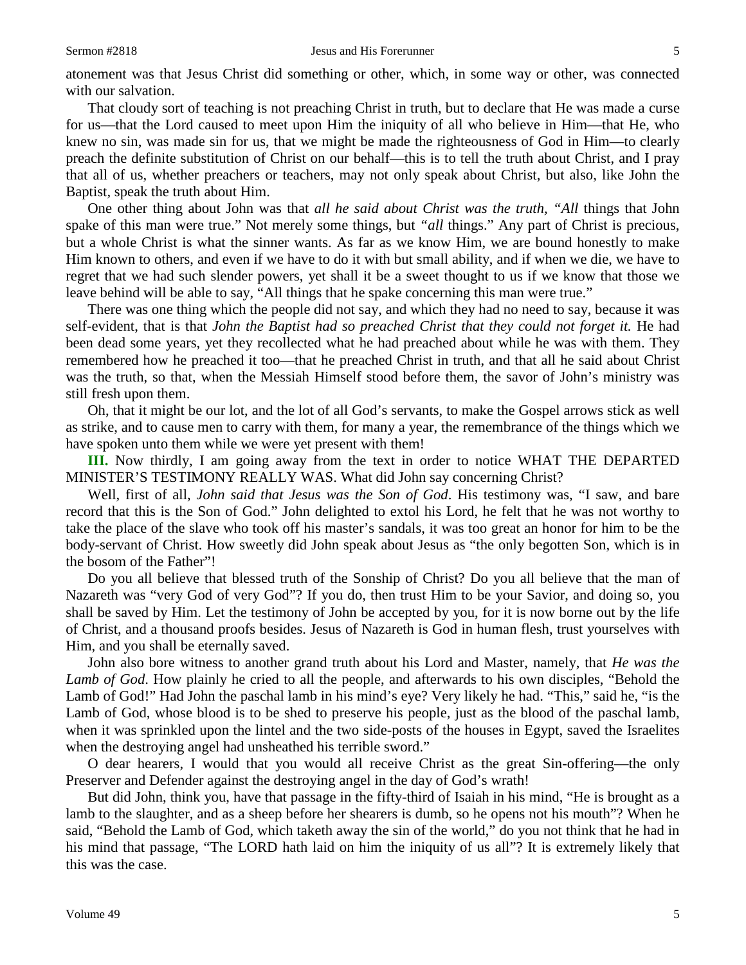atonement was that Jesus Christ did something or other, which, in some way or other, was connected with our salvation.

That cloudy sort of teaching is not preaching Christ in truth, but to declare that He was made a curse for us—that the Lord caused to meet upon Him the iniquity of all who believe in Him—that He, who knew no sin, was made sin for us, that we might be made the righteousness of God in Him—to clearly preach the definite substitution of Christ on our behalf—this is to tell the truth about Christ, and I pray that all of us, whether preachers or teachers, may not only speak about Christ, but also, like John the Baptist, speak the truth about Him.

One other thing about John was that *all he said about Christ was the truth, "All* things that John spake of this man were true." Not merely some things, but *"all* things." Any part of Christ is precious, but a whole Christ is what the sinner wants. As far as we know Him, we are bound honestly to make Him known to others, and even if we have to do it with but small ability, and if when we die, we have to regret that we had such slender powers, yet shall it be a sweet thought to us if we know that those we leave behind will be able to say, "All things that he spake concerning this man were true."

There was one thing which the people did not say, and which they had no need to say, because it was self-evident, that is that *John the Baptist had so preached Christ that they could not forget it.* He had been dead some years, yet they recollected what he had preached about while he was with them. They remembered how he preached it too—that he preached Christ in truth, and that all he said about Christ was the truth, so that, when the Messiah Himself stood before them, the savor of John's ministry was still fresh upon them.

Oh, that it might be our lot, and the lot of all God's servants, to make the Gospel arrows stick as well as strike, and to cause men to carry with them, for many a year, the remembrance of the things which we have spoken unto them while we were yet present with them!

**III.** Now thirdly, I am going away from the text in order to notice WHAT THE DEPARTED MINISTER'S TESTIMONY REALLY WAS. What did John say concerning Christ?

Well, first of all, *John said that Jesus was the Son of God*. His testimony was, "I saw, and bare record that this is the Son of God." John delighted to extol his Lord, he felt that he was not worthy to take the place of the slave who took off his master's sandals, it was too great an honor for him to be the body-servant of Christ. How sweetly did John speak about Jesus as "the only begotten Son, which is in the bosom of the Father"!

Do you all believe that blessed truth of the Sonship of Christ? Do you all believe that the man of Nazareth was "very God of very God"? If you do, then trust Him to be your Savior, and doing so, you shall be saved by Him. Let the testimony of John be accepted by you, for it is now borne out by the life of Christ, and a thousand proofs besides. Jesus of Nazareth is God in human flesh, trust yourselves with Him, and you shall be eternally saved.

John also bore witness to another grand truth about his Lord and Master, namely, that *He was the Lamb of God*. How plainly he cried to all the people, and afterwards to his own disciples, "Behold the Lamb of God!" Had John the paschal lamb in his mind's eye? Very likely he had. "This," said he, "is the Lamb of God, whose blood is to be shed to preserve his people, just as the blood of the paschal lamb, when it was sprinkled upon the lintel and the two side-posts of the houses in Egypt, saved the Israelites when the destroying angel had unsheathed his terrible sword."

O dear hearers, I would that you would all receive Christ as the great Sin-offering—the only Preserver and Defender against the destroying angel in the day of God's wrath!

But did John, think you, have that passage in the fifty-third of Isaiah in his mind, "He is brought as a lamb to the slaughter, and as a sheep before her shearers is dumb, so he opens not his mouth"? When he said, "Behold the Lamb of God, which taketh away the sin of the world," do you not think that he had in his mind that passage, "The LORD hath laid on him the iniquity of us all"? It is extremely likely that this was the case.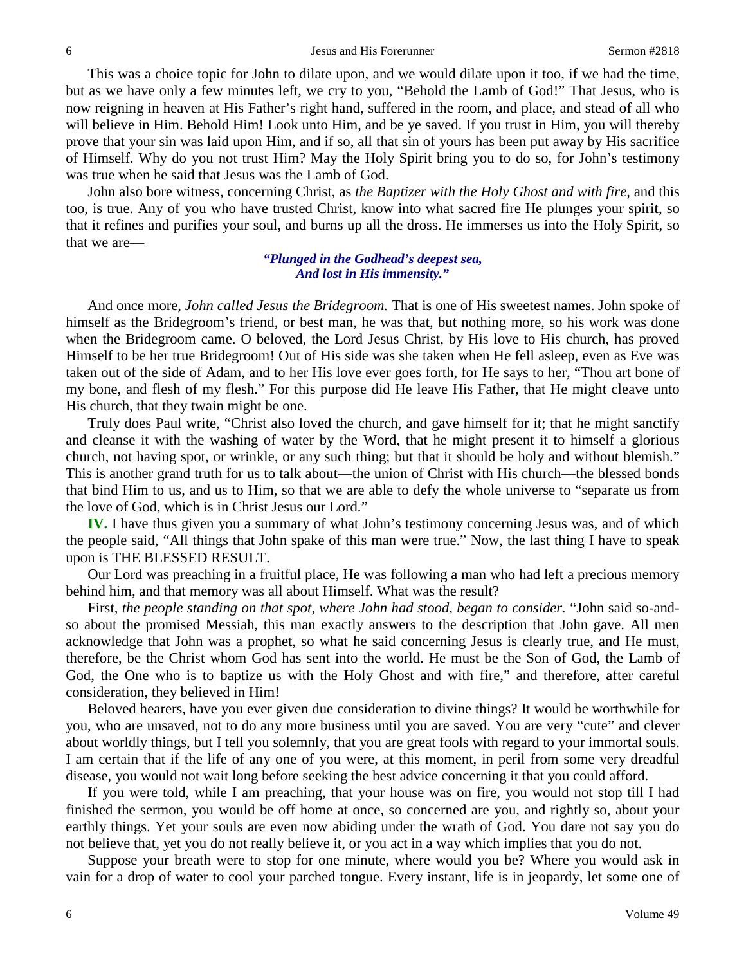This was a choice topic for John to dilate upon, and we would dilate upon it too, if we had the time, but as we have only a few minutes left, we cry to you, "Behold the Lamb of God!" That Jesus, who is now reigning in heaven at His Father's right hand, suffered in the room, and place, and stead of all who will believe in Him. Behold Him! Look unto Him, and be ye saved. If you trust in Him, you will thereby prove that your sin was laid upon Him, and if so, all that sin of yours has been put away by His sacrifice of Himself. Why do you not trust Him? May the Holy Spirit bring you to do so, for John's testimony was true when he said that Jesus was the Lamb of God.

John also bore witness, concerning Christ, as *the Baptizer with the Holy Ghost and with fire,* and this too, is true. Any of you who have trusted Christ, know into what sacred fire He plunges your spirit, so that it refines and purifies your soul, and burns up all the dross. He immerses us into the Holy Spirit, so that we are—

#### *"Plunged in the Godhead's deepest sea, And lost in His immensity."*

And once more, *John called Jesus the Bridegroom.* That is one of His sweetest names. John spoke of himself as the Bridegroom's friend, or best man, he was that, but nothing more, so his work was done when the Bridegroom came. O beloved, the Lord Jesus Christ, by His love to His church, has proved Himself to be her true Bridegroom! Out of His side was she taken when He fell asleep, even as Eve was taken out of the side of Adam, and to her His love ever goes forth, for He says to her, "Thou art bone of my bone, and flesh of my flesh." For this purpose did He leave His Father, that He might cleave unto His church, that they twain might be one.

Truly does Paul write, "Christ also loved the church, and gave himself for it; that he might sanctify and cleanse it with the washing of water by the Word, that he might present it to himself a glorious church, not having spot, or wrinkle, or any such thing; but that it should be holy and without blemish." This is another grand truth for us to talk about—the union of Christ with His church—the blessed bonds that bind Him to us, and us to Him, so that we are able to defy the whole universe to "separate us from the love of God, which is in Christ Jesus our Lord."

**IV.** I have thus given you a summary of what John's testimony concerning Jesus was, and of which the people said, "All things that John spake of this man were true." Now, the last thing I have to speak upon is THE BLESSED RESULT.

Our Lord was preaching in a fruitful place, He was following a man who had left a precious memory behind him, and that memory was all about Himself. What was the result?

First, *the people standing on that spot, where John had stood, began to consider.* "John said so-andso about the promised Messiah, this man exactly answers to the description that John gave. All men acknowledge that John was a prophet, so what he said concerning Jesus is clearly true, and He must, therefore, be the Christ whom God has sent into the world. He must be the Son of God, the Lamb of God, the One who is to baptize us with the Holy Ghost and with fire," and therefore, after careful consideration, they believed in Him!

Beloved hearers, have you ever given due consideration to divine things? It would be worthwhile for you, who are unsaved, not to do any more business until you are saved. You are very "cute" and clever about worldly things, but I tell you solemnly, that you are great fools with regard to your immortal souls. I am certain that if the life of any one of you were, at this moment, in peril from some very dreadful disease, you would not wait long before seeking the best advice concerning it that you could afford.

If you were told, while I am preaching, that your house was on fire, you would not stop till I had finished the sermon, you would be off home at once, so concerned are you, and rightly so, about your earthly things. Yet your souls are even now abiding under the wrath of God. You dare not say you do not believe that, yet you do not really believe it, or you act in a way which implies that you do not.

Suppose your breath were to stop for one minute, where would you be? Where you would ask in vain for a drop of water to cool your parched tongue. Every instant, life is in jeopardy, let some one of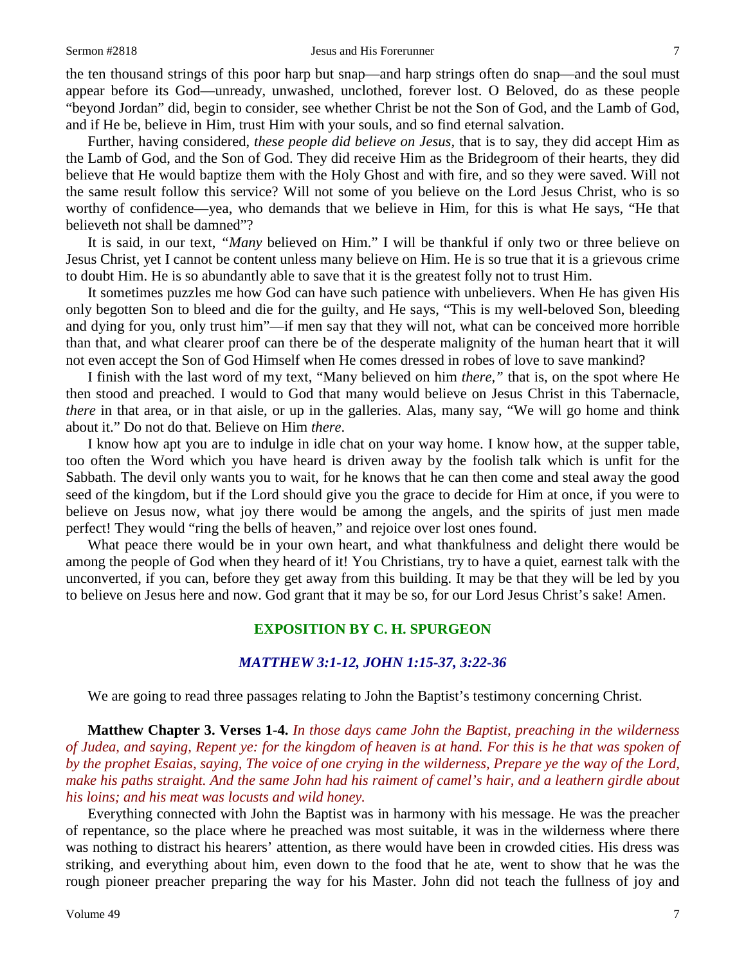the ten thousand strings of this poor harp but snap—and harp strings often do snap—and the soul must appear before its God—unready, unwashed, unclothed, forever lost. O Beloved, do as these people "beyond Jordan" did, begin to consider, see whether Christ be not the Son of God, and the Lamb of God, and if He be, believe in Him, trust Him with your souls, and so find eternal salvation.

Further, having considered, *these people did believe on Jesus,* that is to say, they did accept Him as the Lamb of God, and the Son of God. They did receive Him as the Bridegroom of their hearts, they did believe that He would baptize them with the Holy Ghost and with fire, and so they were saved. Will not the same result follow this service? Will not some of you believe on the Lord Jesus Christ, who is so worthy of confidence—yea, who demands that we believe in Him, for this is what He says, "He that believeth not shall be damned"?

It is said, in our text, *"Many* believed on Him." I will be thankful if only two or three believe on Jesus Christ, yet I cannot be content unless many believe on Him. He is so true that it is a grievous crime to doubt Him. He is so abundantly able to save that it is the greatest folly not to trust Him.

It sometimes puzzles me how God can have such patience with unbelievers. When He has given His only begotten Son to bleed and die for the guilty, and He says, "This is my well-beloved Son, bleeding and dying for you, only trust him"—if men say that they will not, what can be conceived more horrible than that, and what clearer proof can there be of the desperate malignity of the human heart that it will not even accept the Son of God Himself when He comes dressed in robes of love to save mankind?

I finish with the last word of my text, "Many believed on him *there,"* that is, on the spot where He then stood and preached. I would to God that many would believe on Jesus Christ in this Tabernacle, *there* in that area, or in that aisle, or up in the galleries. Alas, many say, "We will go home and think about it." Do not do that. Believe on Him *there*.

I know how apt you are to indulge in idle chat on your way home. I know how, at the supper table, too often the Word which you have heard is driven away by the foolish talk which is unfit for the Sabbath. The devil only wants you to wait, for he knows that he can then come and steal away the good seed of the kingdom, but if the Lord should give you the grace to decide for Him at once, if you were to believe on Jesus now, what joy there would be among the angels, and the spirits of just men made perfect! They would "ring the bells of heaven," and rejoice over lost ones found.

What peace there would be in your own heart, and what thankfulness and delight there would be among the people of God when they heard of it! You Christians, try to have a quiet, earnest talk with the unconverted, if you can, before they get away from this building. It may be that they will be led by you to believe on Jesus here and now. God grant that it may be so, for our Lord Jesus Christ's sake! Amen.

### **EXPOSITION BY C. H. SPURGEON**

#### *MATTHEW 3:1-12, JOHN 1:15-37, 3:22-36*

We are going to read three passages relating to John the Baptist's testimony concerning Christ.

**Matthew Chapter 3. Verses 1-4.** *In those days came John the Baptist, preaching in the wilderness of Judea, and saying, Repent ye: for the kingdom of heaven is at hand. For this is he that was spoken of by the prophet Esaias, saying, The voice of one crying in the wilderness, Prepare ye the way of the Lord, make his paths straight. And the same John had his raiment of camel's hair, and a leathern girdle about his loins; and his meat was locusts and wild honey.*

Everything connected with John the Baptist was in harmony with his message. He was the preacher of repentance, so the place where he preached was most suitable, it was in the wilderness where there was nothing to distract his hearers' attention, as there would have been in crowded cities. His dress was striking, and everything about him, even down to the food that he ate, went to show that he was the rough pioneer preacher preparing the way for his Master. John did not teach the fullness of joy and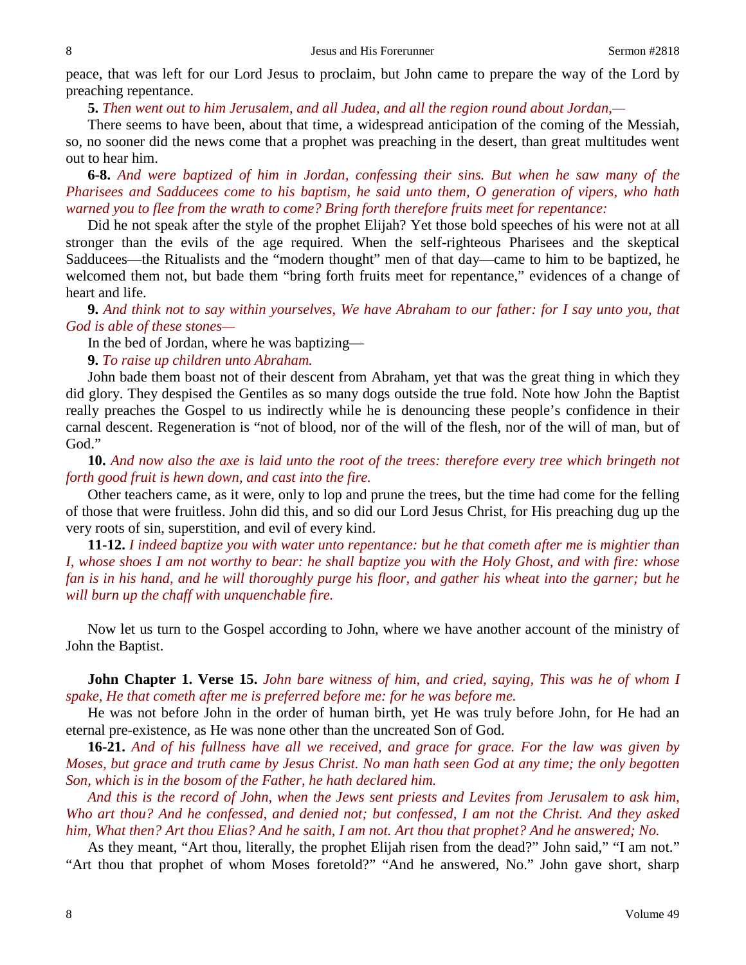peace, that was left for our Lord Jesus to proclaim, but John came to prepare the way of the Lord by preaching repentance.

**5.** *Then went out to him Jerusalem, and all Judea, and all the region round about Jordan,—*

There seems to have been, about that time, a widespread anticipation of the coming of the Messiah, so, no sooner did the news come that a prophet was preaching in the desert, than great multitudes went out to hear him.

**6-8.** *And were baptized of him in Jordan, confessing their sins. But when he saw many of the Pharisees and Sadducees come to his baptism, he said unto them, O generation of vipers, who hath warned you to flee from the wrath to come? Bring forth therefore fruits meet for repentance:*

Did he not speak after the style of the prophet Elijah? Yet those bold speeches of his were not at all stronger than the evils of the age required. When the self-righteous Pharisees and the skeptical Sadducees—the Ritualists and the "modern thought" men of that day—came to him to be baptized, he welcomed them not, but bade them "bring forth fruits meet for repentance," evidences of a change of heart and life.

**9.** *And think not to say within yourselves, We have Abraham to our father: for I say unto you, that God is able of these stones—*

In the bed of Jordan, where he was baptizing—

**9.** *To raise up children unto Abraham.*

John bade them boast not of their descent from Abraham, yet that was the great thing in which they did glory. They despised the Gentiles as so many dogs outside the true fold. Note how John the Baptist really preaches the Gospel to us indirectly while he is denouncing these people's confidence in their carnal descent. Regeneration is "not of blood, nor of the will of the flesh, nor of the will of man, but of God."

**10.** *And now also the axe is laid unto the root of the trees: therefore every tree which bringeth not forth good fruit is hewn down, and cast into the fire.*

Other teachers came, as it were, only to lop and prune the trees, but the time had come for the felling of those that were fruitless. John did this, and so did our Lord Jesus Christ, for His preaching dug up the very roots of sin, superstition, and evil of every kind.

**11-12.** *I indeed baptize you with water unto repentance: but he that cometh after me is mightier than I, whose shoes I am not worthy to bear: he shall baptize you with the Holy Ghost, and with fire: whose fan is in his hand, and he will thoroughly purge his floor, and gather his wheat into the garner; but he will burn up the chaff with unquenchable fire.*

Now let us turn to the Gospel according to John, where we have another account of the ministry of John the Baptist.

**John Chapter 1. Verse 15.** *John bare witness of him, and cried, saying, This was he of whom I spake, He that cometh after me is preferred before me: for he was before me.*

He was not before John in the order of human birth, yet He was truly before John, for He had an eternal pre-existence, as He was none other than the uncreated Son of God.

**16-21.** *And of his fullness have all we received, and grace for grace. For the law was given by Moses, but grace and truth came by Jesus Christ. No man hath seen God at any time; the only begotten Son, which is in the bosom of the Father, he hath declared him.* 

*And this is the record of John, when the Jews sent priests and Levites from Jerusalem to ask him, Who art thou? And he confessed, and denied not; but confessed, I am not the Christ. And they asked him, What then? Art thou Elias? And he saith, I am not. Art thou that prophet? And he answered; No.*

As they meant, "Art thou, literally, the prophet Elijah risen from the dead?" John said," "I am not." "Art thou that prophet of whom Moses foretold?" "And he answered, No." John gave short, sharp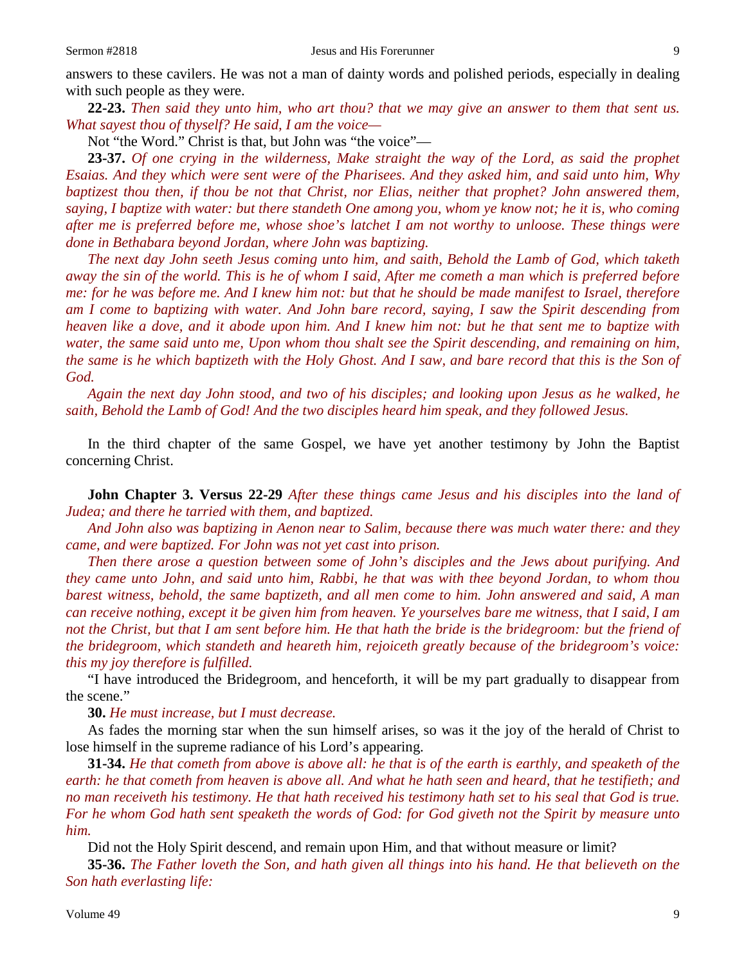answers to these cavilers. He was not a man of dainty words and polished periods, especially in dealing with such people as they were.

**22-23.** *Then said they unto him, who art thou? that we may give an answer to them that sent us. What sayest thou of thyself? He said, I am the voice—*

Not "the Word." Christ is that, but John was "the voice"—

**23-37.** *Of one crying in the wilderness, Make straight the way of the Lord, as said the prophet Esaias. And they which were sent were of the Pharisees. And they asked him, and said unto him, Why baptizest thou then, if thou be not that Christ, nor Elias, neither that prophet? John answered them, saying, I baptize with water: but there standeth One among you, whom ye know not; he it is, who coming after me is preferred before me, whose shoe's latchet I am not worthy to unloose. These things were done in Bethabara beyond Jordan, where John was baptizing.* 

*The next day John seeth Jesus coming unto him, and saith, Behold the Lamb of God, which taketh away the sin of the world. This is he of whom I said, After me cometh a man which is preferred before me: for he was before me. And I knew him not: but that he should be made manifest to Israel, therefore am I come to baptizing with water. And John bare record, saying, I saw the Spirit descending from heaven like a dove, and it abode upon him. And I knew him not: but he that sent me to baptize with water, the same said unto me, Upon whom thou shalt see the Spirit descending, and remaining on him, the same is he which baptizeth with the Holy Ghost. And I saw, and bare record that this is the Son of God.* 

*Again the next day John stood, and two of his disciples; and looking upon Jesus as he walked, he saith, Behold the Lamb of God! And the two disciples heard him speak, and they followed Jesus.*

In the third chapter of the same Gospel, we have yet another testimony by John the Baptist concerning Christ.

**John Chapter 3. Versus 22-29** *After these things came Jesus and his disciples into the land of Judea; and there he tarried with them, and baptized.* 

*And John also was baptizing in Aenon near to Salim, because there was much water there: and they came, and were baptized. For John was not yet cast into prison.* 

*Then there arose a question between some of John's disciples and the Jews about purifying. And they came unto John, and said unto him, Rabbi, he that was with thee beyond Jordan, to whom thou barest witness, behold, the same baptizeth, and all men come to him. John answered and said, A man can receive nothing, except it be given him from heaven. Ye yourselves bare me witness, that I said, I am not the Christ, but that I am sent before him. He that hath the bride is the bridegroom: but the friend of the bridegroom, which standeth and heareth him, rejoiceth greatly because of the bridegroom's voice: this my joy therefore is fulfilled.*

"I have introduced the Bridegroom, and henceforth, it will be my part gradually to disappear from the scene."

**30.** *He must increase, but I must decrease.*

As fades the morning star when the sun himself arises, so was it the joy of the herald of Christ to lose himself in the supreme radiance of his Lord's appearing.

**31-34.** *He that cometh from above is above all: he that is of the earth is earthly, and speaketh of the earth: he that cometh from heaven is above all. And what he hath seen and heard, that he testifieth; and no man receiveth his testimony. He that hath received his testimony hath set to his seal that God is true. For he whom God hath sent speaketh the words of God: for God giveth not the Spirit by measure unto him.*

Did not the Holy Spirit descend, and remain upon Him, and that without measure or limit?

**35-36.** *The Father loveth the Son, and hath given all things into his hand. He that believeth on the Son hath everlasting life:*